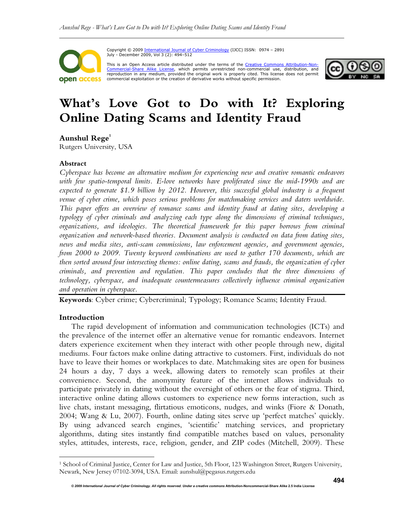open access

Copyright © 2009 International Journal of Cyber Criminology (IJCC) ISSN: 0974 – 2891 July - December 2009, Vol 3 (2): 494–512

This is an Open Access article distributed under the terms of the Creative Commons Attribution-Non-Commercial-Share Alike License, which permits unrestricted non-commercial use, distribution, and reproduction in any medium, provided the original work is properly cited. This license does not permit commercial exploitation or the creation of derivative works without specific permission.



# **What's Love Got to Do with It? Exploring Online Dating Scams and Identity Fraud**

# $\mathbf{A}$ unshul  $\mathbf{Rege}^{1}$

Rutgers University, USA

#### **Abstract**

*Cyberspace has become an alternative medium for experiencing new and creative romantic endeavors with few spatio-temporal limits. E-love networks have proliferated since the mid-1990s and are*  expected to generate \$1.9 billion by 2012. However, this successful global industry is a frequent *venue of cyber crime, which poses serious problems for matchmaking services and daters worldwide. This paper offers an overview of romance scams and identity fraud at dating sites, developing a typology of cyber criminals and analyzing each type along the dimensions of criminal techniques, organizations, and ideologies. The theoretical framework for this paper borrows from criminal organization and network-based theories. Document analysis is conducted on data from dating sites, news and media sites, anti-scam commissions, law enforcement agencies, and government agencies, from 2000 to 2009. Twenty keyword combinations are used to gather 170 documents, which are then sorted around four intersecting themes: online dating, scams and frauds, the organization of cyber criminals, and prevention and regulation. This paper concludes that the three dimensions of technology, cyberspace, and inadequate countermeasures collectively influence criminal organization and operation in cyberspace.*

**Keywords**: Cyber crime; Cybercriminal; Typology; Romance Scams; Identity Fraud.

## **Introduction**

 $\overline{a}$ 

The rapid development of information and communication technologies (ICTs) and the prevalence of the internet offer an alternative venue for romantic endeavors. Internet daters experience excitement when they interact with other people through new, digital mediums. Four factors make online dating attractive to customers. First, individuals do not have to leave their homes or workplaces to date. Matchmaking sites are open for business 24 hours a day, 7 days a week, allowing daters to remotely scan profiles at their convenience. Second, the anonymity feature of the internet allows individuals to participate privately in dating without the oversight of others or the fear of stigma. Third, interactive online dating allows customers to experience new forms interaction, such as live chats, instant messaging, flirtatious emoticons, nudges, and winks (Fiore & Donath, 2004; Wang & Lu, 2007). Fourth, online dating sites serve up 'perfect matches' quickly. By using advanced search engines, 'scientific' matching services, and proprietary algorithms, dating sites instantly find compatible matches based on values, personality styles, attitudes, interests, race, religion, gender, and ZIP codes (Mitchell, 2009). These

<sup>1</sup> School of Criminal Justice, Center for Law and Justice, 5th Floor, 123 Washington Street, Rutgers University, Newark, New Jersey 07102-3094, USA. Email: aunshul@pegasus.rutgers.edu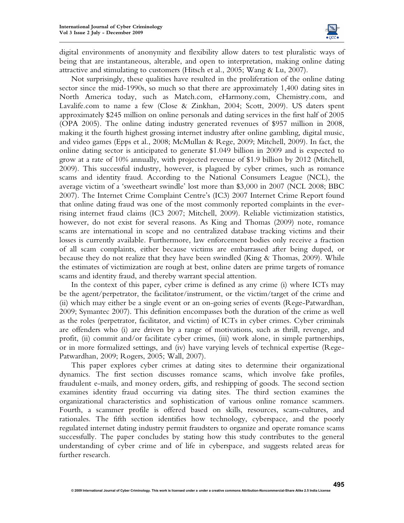

digital environments of anonymity and flexibility allow daters to test pluralistic ways of being that are instantaneous, alterable, and open to interpretation, making online dating attractive and stimulating to customers (Hitsch et al., 2005; Wang & Lu, 2007).

Not surprisingly, these qualities have resulted in the proliferation of the online dating sector since the mid-1990s, so much so that there are approximately 1,400 dating sites in North America today, such as Match.com, eHarmony.com, Chemistry.com, and Lavalife.com to name a few (Close & Zinkhan, 2004; Scott, 2009). US daters spent approximately \$245 million on online personals and dating services in the first half of 2005 (OPA 2005). The online dating industry generated revenues of \$957 million in 2008, making it the fourth highest grossing internet industry after online gambling, digital music, and video games (Epps et al., 2008; McMullan & Rege, 2009; Mitchell, 2009). In fact, the online dating sector is anticipated to generate \$1.049 billion in 2009 and is expected to grow at a rate of 10% annually, with projected revenue of \$1.9 billion by 2012 (Mitchell, 2009). This successful industry, however, is plagued by cyber crimes, such as romance scams and identity fraud. According to the National Consumers League (NCL), the average victim of a 'sweetheart swindle' lost more than \$3,000 in 2007 (NCL 2008; BBC 2007). The Internet Crime Complaint Centre's (IC3) 2007 Internet Crime Report found that online dating fraud was one of the most commonly reported complaints in the everrising internet fraud claims (IC3 2007; Mitchell, 2009). Reliable victimization statistics, however, do not exist for several reasons. As King and Thomas (2009) note, romance scams are international in scope and no centralized database tracking victims and their losses is currently available. Furthermore, law enforcement bodies only receive a fraction of all scam complaints, either because victims are embarrassed after being duped, or because they do not realize that they have been swindled (King & Thomas, 2009). While the estimates of victimization are rough at best, online daters are prime targets of romance scams and identity fraud, and thereby warrant special attention.

In the context of this paper, cyber crime is defined as any crime (i) where ICTs may be the agent/perpetrator, the facilitator/instrument, or the victim/target of the crime and (ii) which may either be a single event or an on-going series of events (Rege-Patwardhan, 2009; Symantec 2007). This definition encompasses both the duration of the crime as well as the roles (perpetrator, facilitator, and victim) of ICTs in cyber crimes. Cyber criminals are offenders who (i) are driven by a range of motivations, such as thrill, revenge, and profit, (ii) commit and/or facilitate cyber crimes, (iii) work alone, in simple partnerships, or in more formalized settings, and (iv) have varying levels of technical expertise (Rege-Patwardhan, 2009; Rogers, 2005; Wall, 2007).

This paper explores cyber crimes at dating sites to determine their organizational dynamics. The first section discusses romance scams, which involve fake profiles, fraudulent e-mails, and money orders, gifts, and reshipping of goods. The second section examines identity fraud occurring via dating sites. The third section examines the organizational characteristics and sophistication of various online romance scammers. Fourth, a scammer profile is offered based on skills, resources, scam-cultures, and rationales. The fifth section identifies how technology, cyberspace, and the poorly regulated internet dating industry permit fraudsters to organize and operate romance scams successfully. The paper concludes by stating how this study contributes to the general understanding of cyber crime and of life in cyberspace, and suggests related areas for further research.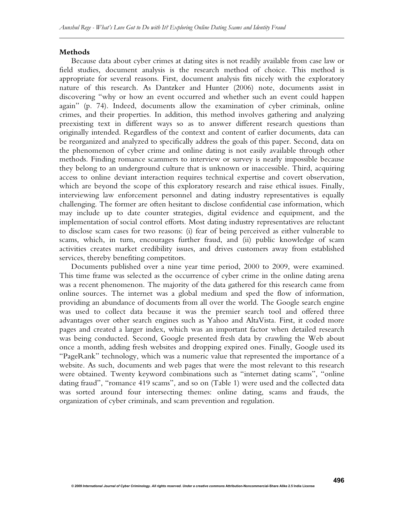#### **Methods**

Because data about cyber crimes at dating sites is not readily available from case law or field studies, document analysis is the research method of choice. This method is appropriate for several reasons. First, document analysis fits nicely with the exploratory nature of this research. As Dantzker and Hunter (2006) note, documents assist in discovering "why or how an event occurred and whether such an event could happen again" (p. 74). Indeed, documents allow the examination of cyber criminals, online crimes, and their properties. In addition, this method involves gathering and analyzing preexisting text in different ways so as to answer different research questions than originally intended. Regardless of the context and content of earlier documents, data can be reorganized and analyzed to specifically address the goals of this paper. Second, data on the phenomenon of cyber crime and online dating is not easily available through other methods. Finding romance scammers to interview or survey is nearly impossible because they belong to an underground culture that is unknown or inaccessible. Third, acquiring access to online deviant interaction requires technical expertise and covert observation, which are beyond the scope of this exploratory research and raise ethical issues. Finally, interviewing law enforcement personnel and dating industry representatives is equally challenging. The former are often hesitant to disclose confidential case information, which may include up to date counter strategies, digital evidence and equipment, and the implementation of social control efforts. Most dating industry representatives are reluctant to disclose scam cases for two reasons: (i) fear of being perceived as either vulnerable to scams, which, in turn, encourages further fraud, and (ii) public knowledge of scam activities creates market credibility issues, and drives customers away from established services, thereby benefiting competitors.

Documents published over a nine year time period, 2000 to 2009, were examined. This time frame was selected as the occurrence of cyber crime in the online dating arena was a recent phenomenon. The majority of the data gathered for this research came from online sources. The internet was a global medium and sped the flow of information, providing an abundance of documents from all over the world. The Google search engine was used to collect data because it was the premier search tool and offered three advantages over other search engines such as Yahoo and AltaVista. First, it coded more pages and created a larger index, which was an important factor when detailed research was being conducted. Second, Google presented fresh data by crawling the Web about once a month, adding fresh websites and dropping expired ones. Finally, Google used its "PageRank" technology, which was a numeric value that represented the importance of a website. As such, documents and web pages that were the most relevant to this research were obtained. Twenty keyword combinations such as "internet dating scams", "online dating fraud", "romance 419 scams", and so on (Table 1) were used and the collected data was sorted around four intersecting themes: online dating, scams and frauds, the organization of cyber criminals, and scam prevention and regulation.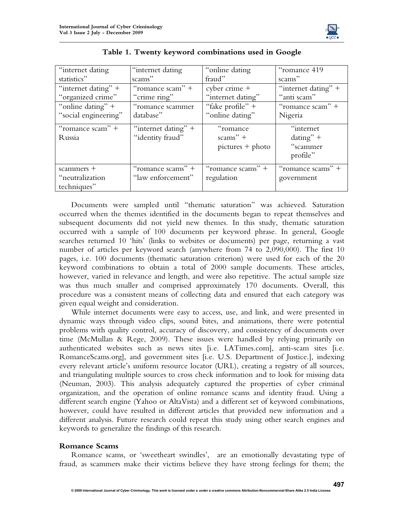

| "internet dating                               | "internet dating                          | "online dating                                | "romance 419                                       |
|------------------------------------------------|-------------------------------------------|-----------------------------------------------|----------------------------------------------------|
| statistics"                                    | scams"                                    | fraud"                                        | scams"                                             |
| "internet dating" $+$                          | "romance scam" $+$                        | cyber crime +                                 | "internet dating" $+$                              |
| "organized crime"                              | "crime ring"                              | "internet dating"                             | "anti scam"                                        |
| "online dating" +                              | "romance scammer                          | "fake profile" $+$                            | "romance scam" $+$                                 |
| "social engineering"                           | database"                                 | "online dating"                               | Nigeria                                            |
| "romance scam" $+$<br>Russia                   | "internet dating" $+$<br>"identity fraud" | "romance"<br>scams" $+$<br>$pictures + photo$ | "internet"<br>dating" $+$<br>"scammer"<br>profile" |
| scammers $+$<br>"neutralization<br>techniques" | "romance scams" +<br>"law enforcement"    | "romance scams" +<br>regulation               | "romance scams" $+$<br>government                  |

Documents were sampled until "thematic saturation" was achieved. Saturation occurred when the themes identified in the documents began to repeat themselves and subsequent documents did not yield new themes. In this study, thematic saturation occurred with a sample of 100 documents per keyword phrase. In general, Google searches returned 10 'hits' (links to websites or documents) per page, returning a vast number of articles per keyword search (anywhere from 74 to 2,090,000). The first 10 pages, i.e. 100 documents (thematic saturation criterion) were used for each of the 20 keyword combinations to obtain a total of 2000 sample documents. These articles, however, varied in relevance and length, and were also repetitive. The actual sample size was thus much smaller and comprised approximately 170 documents. Overall, this procedure was a consistent means of collecting data and ensured that each category was given equal weight and consideration.

While internet documents were easy to access, use, and link, and were presented in dynamic ways through video clips, sound bites, and animations, there were potential problems with quality control, accuracy of discovery, and consistency of documents over time (McMullan & Rege, 2009). These issues were handled by relying primarily on authenticated websites such as news sites [i.e. LATimes.com], anti-scam sites [i.e. RomanceScams.org], and government sites [i.e. U.S. Department of Justice.], indexing every relevant article's uniform resource locator (URL), creating a registry of all sources, and triangulating multiple sources to cross check information and to look for missing data (Neuman, 2003). This analysis adequately captured the properties of cyber criminal organization, and the operation of online romance scams and identity fraud. Using a different search engine (Yahoo or AltaVista) and a different set of keyword combinations, however, could have resulted in different articles that provided new information and a different analysis. Future research could repeat this study using other search engines and keywords to generalize the findings of this research.

## **Romance Scams**

Romance scams, or 'sweetheart swindles', are an emotionally devastating type of fraud, as scammers make their victims believe they have strong feelings for them; the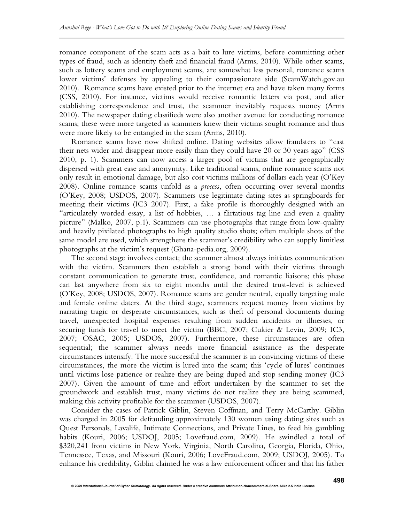romance component of the scam acts as a bait to lure victims, before committing other types of fraud, such as identity theft and financial fraud (Arms, 2010). While other scams, such as lottery scams and employment scams, are somewhat less personal, romance scams lower victims' defenses by appealing to their compassionate side (ScamWatch.gov.au 2010). Romance scams have existed prior to the internet era and have taken many forms (CSS, 2010). For instance, victims would receive romantic letters via post, and after establishing correspondence and trust, the scammer inevitably requests money (Arms 2010). The newspaper dating classifieds were also another avenue for conducting romance scams; these were more targeted as scammers knew their victims sought romance and thus were more likely to be entangled in the scam (Arms, 2010).

Romance scams have now shifted online. Dating websites allow fraudsters to "cast their nets wider and disappear more easily than they could have 20 or 30 years ago" (CSS 2010, p. 1). Scammers can now access a larger pool of victims that are geographically dispersed with great ease and anonymity. Like traditional scams, online romance scams not only result in emotional damage, but also cost victims millions of dollars each year (O'Key 2008). Online romance scams unfold as a *process*, often occurring over several months (O'Key, 2008; USDOS, 2007). Scammers use legitimate dating sites as springboards for meeting their victims (IC3 2007). First, a fake profile is thoroughly designed with an "articulately worded essay, a list of hobbies, … a flirtatious tag line and even a quality picture" (Malko, 2007, p.1). Scammers can use photographs that range from low-quality and heavily pixilated photographs to high quality studio shots; often multiple shots of the same model are used, which strengthens the scammer's credibility who can supply limitless photographs at the victim's request (Ghana-pedia.org, 2009).

The second stage involves contact; the scammer almost always initiates communication with the victim. Scammers then establish a strong bond with their victims through constant communication to generate trust, confidence, and romantic liaisons; this phase can last anywhere from six to eight months until the desired trust-level is achieved (O'Key, 2008; USDOS, 2007). Romance scams are gender neutral, equally targeting male and female online daters. At the third stage, scammers request money from victims by narrating tragic or desperate circumstances, such as theft of personal documents during travel, unexpected hospital expenses resulting from sudden accidents or illnesses, or securing funds for travel to meet the victim (BBC, 2007; Cukier & Levin, 2009; IC3, 2007; OSAC, 2005; USDOS, 2007). Furthermore, these circumstances are often sequential; the scammer always needs more financial assistance as the desperate circumstances intensify. The more successful the scammer is in convincing victims of these circumstances, the more the victim is lured into the scam; this 'cycle of lures' continues until victims lose patience or realize they are being duped and stop sending money (IC3 2007). Given the amount of time and effort undertaken by the scammer to set the groundwork and establish trust, many victims do not realize they are being scammed, making this activity profitable for the scammer (USDOS, 2007).

Consider the cases of Patrick Giblin, Steven Coffman, and Terry McCarthy. Giblin was charged in 2005 for defrauding approximately 130 women using dating sites such as Quest Personals, Lavalife, Intimate Connections, and Private Lines, to feed his gambling habits (Kouri, 2006; USDOJ, 2005; Lovefraud.com, 2009). He swindled a total of \$320,241 from victims in New York, Virginia, North Carolina, Georgia, Florida, Ohio, Tennessee, Texas, and Missouri (Kouri, 2006; LoveFraud.com, 2009; USDOJ, 2005). To enhance his credibility, Giblin claimed he was a law enforcement officer and that his father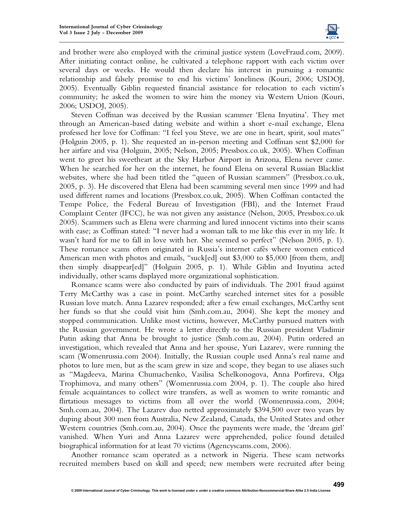

and brother were also employed with the criminal justice system (LoveFraud.com, 2009). After initiating contact online, he cultivated a telephone rapport with each victim over several days or weeks. He would then declare his interest in pursuing a romantic relationship and falsely promise to end his victims' loneliness (Kouri, 2006; USDOJ, 2005). Eventually Giblin requested financial assistance for relocation to each victim's community; he asked the women to wire him the money via Western Union (Kouri, 2006; USDOJ, 2005).

Steven Coffman was deceived by the Russian scammer 'Elena Inyutina'. They met through an American-based dating website and within a short e-mail exchange, Elena professed her love for Coffman: "I feel you Steve, we are one in heart, spirit, soul mates" (Holguin 2005, p. 1). She requested an in-person meeting and Coffman sent \$2,000 for her airfare and visa (Holguin, 2005; Nelson, 2005; Pressbox.co.uk, 2005). When Coffman went to greet his sweetheart at the Sky Harbor Airport in Arizona, Elena never came. When he searched for her on the internet, he found Elena on several Russian Blacklist websites, where she had been titled the "queen of Russian scammers" (Pressbox.co.uk, 2005, p. 3). He discovered that Elena had been scamming several men since 1999 and had used different names and locations (Pressbox.co.uk, 2005). When Coffman contacted the Tempe Police, the Federal Bureau of Investigation (FBI), and the Internet Fraud Complaint Center (IFCC), he was not given any assistance (Nelson, 2005, Pressbox.co.uk 2005). Scammers such as Elena were charming and lured innocent victims into their scams with ease; as Coffman stated: "I never had a woman talk to me like this ever in my life. It wasn't hard for me to fall in love with her. She seemed so perfect" (Nelson 2005, p. 1). These romance scams often originated in Russia's internet cafés where women enticed American men with photos and emails, "suck[ed] out \$3,000 to \$5,000 [from them, and] then simply disappear[ed]" (Holguin 2005, p. 1). While Giblin and Inyutina acted individually, other scams displayed more organizational sophistication.

Romance scams were also conducted by pairs of individuals. The 2001 fraud against Terry McCarthy was a case in point. McCarthy searched internet sites for a possible Russian love match. Anna Lazarev responded; after a few email exchanges, McCarthy sent her funds so that she could visit him (Smh.com.au, 2004). She kept the money and stopped communication. Unlike most victims, however, McCarthy pursued matters with the Russian government. He wrote a letter directly to the Russian president Vladimir Putin asking that Anna be brought to justice (Smh.com.au, 2004). Putin ordered an investigation, which revealed that Anna and her spouse, Yuri Lazarev, were running the scam (Womenrussia.com 2004). Initially, the Russian couple used Anna's real name and photos to lure men, but as the scam grew in size and scope, they began to use aliases such as "Magdeeva, Marina Chumachenko, Vasilisa Schelkonogova, Anna Porfireva, Olga Trophimova, and many others" (Womenrussia.com 2004, p. 1). The couple also hired female acquaintances to collect wire transfers, as well as women to write romantic and flirtatious messages to victims from all over the world (Womenrussia.com, 2004; Smh.com.au, 2004). The Lazarev duo netted approximately \$394,500 over two years by duping about 300 men from Australia, New Zealand, Canada, the United States and other Western countries (Smh.com.au, 2004). Once the payments were made, the 'dream girl' vanished. When Yuri and Anna Lazarev were apprehended, police found detailed biographical information for at least 70 victims (Agencyscams.com, 2006).

Another romance scam operated as a network in Nigeria. These scam networks recruited members based on skill and speed; new members were recruited after being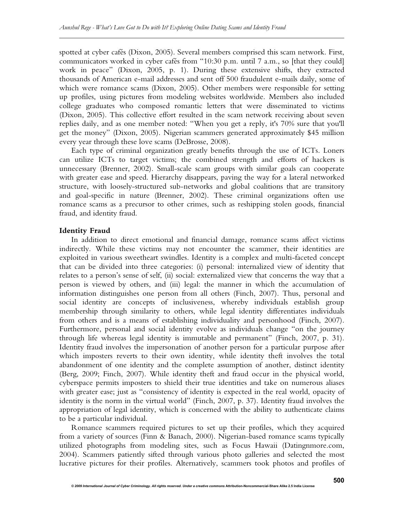spotted at cyber cafés (Dixon, 2005). Several members comprised this scam network. First, communicators worked in cyber cafés from "10:30 p.m. until 7 a.m., so [that they could] work in peace" (Dixon, 2005, p. 1). During these extensive shifts, they extracted thousands of American e-mail addresses and sent off 500 fraudulent e-mails daily, some of which were romance scams (Dixon, 2005). Other members were responsible for setting up profiles, using pictures from modeling websites worldwide. Members also included college graduates who composed romantic letters that were disseminated to victims (Dixon, 2005). This collective effort resulted in the scam network receiving about seven replies daily, and as one member noted: "When you get a reply, it's 70% sure that you'll get the money" (Dixon, 2005). Nigerian scammers generated approximately \$45 million every year through these love scams (DeBrosse, 2008).

Each type of criminal organization greatly benefits through the use of ICTs. Loners can utilize ICTs to target victims; the combined strength and efforts of hackers is unnecessary (Brenner, 2002). Small-scale scam groups with similar goals can cooperate with greater ease and speed. Hierarchy disappears, paving the way for a lateral networked structure, with loosely-structured sub-networks and global coalitions that are transitory and goal-specific in nature (Brenner, 2002). These criminal organizations often use romance scams as a precursor to other crimes, such as reshipping stolen goods, financial fraud, and identity fraud.

#### **Identity Fraud**

In addition to direct emotional and financial damage, romance scams affect victims indirectly. While these victims may not encounter the scammer, their identities are exploited in various sweetheart swindles. Identity is a complex and multi-faceted concept that can be divided into three categories: (i) personal: internalized view of identity that relates to a person's sense of self, (ii) social: externalized view that concerns the way that a person is viewed by others, and (iii) legal: the manner in which the accumulation of information distinguishes one person from all others (Finch, 2007). Thus, personal and social identity are concepts of inclusiveness, whereby individuals establish group membership through similarity to others, while legal identity differentiates individuals from others and is a means of establishing individuality and personhood (Finch, 2007). Furthermore, personal and social identity evolve as individuals change "on the journey through life whereas legal identity is immutable and permanent" (Finch, 2007, p. 31). Identity fraud involves the impersonation of another person for a particular purpose after which imposters reverts to their own identity, while identity theft involves the total abandonment of one identity and the complete assumption of another, distinct identity (Berg, 2009; Finch, 2007). While identity theft and fraud occur in the physical world, cyberspace permits imposters to shield their true identities and take on numerous aliases with greater ease; just as "consistency of identity is expected in the real world, opacity of identity is the norm in the virtual world" (Finch, 2007, p. 37). Identity fraud involves the appropriation of legal identity, which is concerned with the ability to authenticate claims to be a particular individual.

Romance scammers required pictures to set up their profiles, which they acquired from a variety of sources (Finn & Banach, 2000). Nigerian-based romance scams typically utilized photographs from modeling sites, such as Focus Hawaii (Datingnmore.com, 2004). Scammers patiently sifted through various photo galleries and selected the most lucrative pictures for their profiles. Alternatively, scammers took photos and profiles of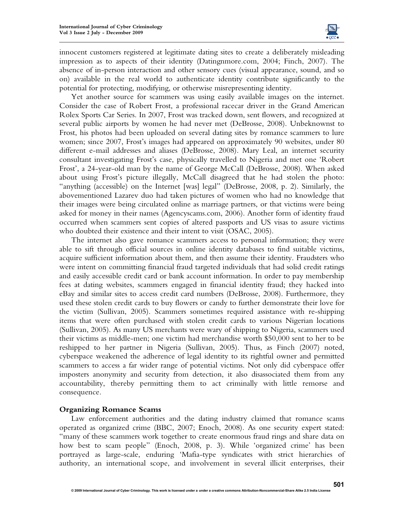

innocent customers registered at legitimate dating sites to create a deliberately misleading impression as to aspects of their identity (Datingnmore.com, 2004; Finch, 2007). The absence of in-person interaction and other sensory cues (visual appearance, sound, and so on) available in the real world to authenticate identity contribute significantly to the potential for protecting, modifying, or otherwise misrepresenting identity.

Yet another source for scammers was using easily available images on the internet. Consider the case of Robert Frost, a professional racecar driver in the Grand American Rolex Sports Car Series. In 2007, Frost was tracked down, sent flowers, and recognized at several public airports by women he had never met (DeBrosse, 2008). Unbeknownst to Frost, his photos had been uploaded on several dating sites by romance scammers to lure women; since 2007, Frost's images had appeared on approximately 90 websites, under 80 different e-mail addresses and aliases (DeBrosse, 2008). Mary Leal, an internet security consultant investigating Frost's case, physically travelled to Nigeria and met one 'Robert Frost', a 24-year-old man by the name of George McCall (DeBrosse, 2008). When asked about using Frost's picture illegally, McCall disagreed that he had stolen the photo: "anything (accessible) on the Internet [was] legal" (DeBrosse, 2008, p. 2). Similarly, the abovementioned Lazarev duo had taken pictures of women who had no knowledge that their images were being circulated online as marriage partners, or that victims were being asked for money in their names (Agencyscams.com, 2006). Another form of identity fraud occurred when scammers sent copies of altered passports and US visas to assure victims who doubted their existence and their intent to visit (OSAC, 2005).

The internet also gave romance scammers access to personal information; they were able to sift through official sources in online identity databases to find suitable victims, acquire sufficient information about them, and then assume their identity. Fraudsters who were intent on committing financial fraud targeted individuals that had solid credit ratings and easily accessible credit card or bank account information. In order to pay membership fees at dating websites, scammers engaged in financial identity fraud; they hacked into eBay and similar sites to access credit card numbers (DeBrosse, 2008). Furthermore, they used these stolen credit cards to buy flowers or candy to further demonstrate their love for the victim (Sullivan, 2005). Scammers sometimes required assistance with re-shipping items that were often purchased with stolen credit cards to various Nigerian locations (Sullivan, 2005). As many US merchants were wary of shipping to Nigeria, scammers used their victims as middle-men; one victim had merchandise worth \$50,000 sent to her to be reshipped to her partner in Nigeria (Sullivan, 2005). Thus, as Finch (2007) noted, cyberspace weakened the adherence of legal identity to its rightful owner and permitted scammers to access a far wider range of potential victims. Not only did cyberspace offer imposters anonymity and security from detection, it also disassociated them from any accountability, thereby permitting them to act criminally with little remorse and consequence.

## **Organizing Romance Scams**

Law enforcement authorities and the dating industry claimed that romance scams operated as organized crime (BBC, 2007; Enoch, 2008). As one security expert stated: "many of these scammers work together to create enormous fraud rings and share data on how best to scam people" (Enoch, 2008, p. 3). While 'organized crime' has been portrayed as large-scale, enduring 'Mafia-type syndicates with strict hierarchies of authority, an international scope, and involvement in several illicit enterprises, their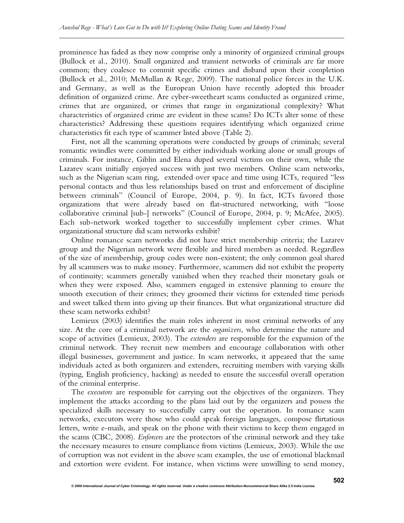prominence has faded as they now comprise only a minority of organized criminal groups (Bullock et al., 2010). Small organized and transient networks of criminals are far more common; they coalesce to commit specific crimes and disband upon their completion (Bullock et al., 2010; McMullan & Rege, 2009). The national police forces in the U.K. and Germany, as well as the European Union have recently adopted this broader definition of organized crime. Are cyber-sweetheart scams conducted as organized crime, crimes that are organized, or crimes that range in organizational complexity? What characteristics of organized crime are evident in these scams? Do ICTs alter some of these characteristics? Addressing these questions requires identifying which organized crime characteristics fit each type of scammer listed above (Table 2).

First, not all the scamming operations were conducted by groups of criminals; several romantic swindles were committed by either individuals working alone or small groups of criminals. For instance, Giblin and Elena duped several victims on their own, while the Lazarev scam initially enjoyed success with just two members. Online scam networks, such as the Nigerian scam ring, extended over space and time using ICTs, required "less personal contacts and thus less relationships based on trust and enforcement of discipline between criminals" (Council of Europe, 2004, p. 9). In fact, ICTs favored those organizations that were already based on flat-structured networking, with "loose collaborative criminal [sub-] networks" (Council of Europe, 2004, p. 9; McAfee, 2005). Each sub-network worked together to successfully implement cyber crimes. What organizational structure did scam networks exhibit?

Online romance scam networks did not have strict membership criteria; the Lazarev group and the Nigerian network were flexible and hired members as needed. Regardless of the size of membership, group codes were non-existent; the only common goal shared by all scammers was to make money. Furthermore, scammers did not exhibit the property of continuity; scammers generally vanished when they reached their monetary goals or when they were exposed. Also, scammers engaged in extensive planning to ensure the smooth execution of their crimes; they groomed their victims for extended time periods and sweet talked them into giving up their finances. But what organizational structure did these scam networks exhibit?

Lemieux (2003) identifies the main roles inherent in most criminal networks of any size. At the core of a criminal network are the *organizers*, who determine the nature and scope of activities (Lemieux, 2003). The *extenders* are responsible for the expansion of the criminal network. They recruit new members and encourage collaboration with other illegal businesses, government and justice. In scam networks, it appeared that the same individuals acted as both organizers and extenders, recruiting members with varying skills (typing, English proficiency, hacking) as needed to ensure the successful overall operation of the criminal enterprise.

The *executors* are responsible for carrying out the objectives of the organizers. They implement the attacks according to the plans laid out by the organizers and possess the specialized skills necessary to successfully carry out the operation. In romance scam networks, executors were those who could speak foreign languages, compose flirtatious letters, write e-mails, and speak on the phone with their victims to keep them engaged in the scams (CBC, 2008). *Enforcers* are the protectors of the criminal network and they take the necessary measures to ensure compliance from victims (Lemieux, 2003). While the use of corruption was not evident in the above scam examples, the use of emotional blackmail and extortion were evident. For instance, when victims were unwilling to send money,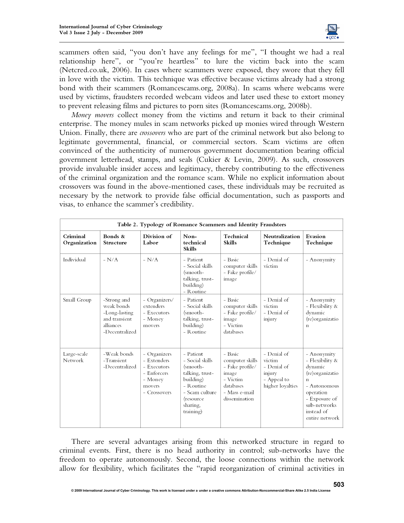

scammers often said, "you don't have any feelings for me", "I thought we had a real relationship here", or "you're heartless" to lure the victim back into the scam (Netcred.co.uk, 2006). In cases where scammers were exposed, they swore that they fell in love with the victim. This technique was effective because victims already had a strong bond with their scammers (Romancescams.org, 2008a). In scams where webcams were used by victims, fraudsters recorded webcam videos and later used these to extort money to prevent releasing films and pictures to porn sites (Romancescams.org, 2008b).

*Money movers* collect money from the victims and return it back to their criminal enterprise. The money mules in scam networks picked up monies wired through Western Union. Finally, there are *crossovers* who are part of the criminal network but also belong to legitimate governmental, financial, or commercial sectors. Scam victims are often convinced of the authenticity of numerous government documentation bearing official government letterhead, stamps, and seals (Cukier & Levin, 2009). As such, crossovers provide invaluable insider access and legitimacy, thereby contributing to the effectiveness of the criminal organization and the romance scam. While no explicit information about crossovers was found in the above-mentioned cases, these individuals may be recruited as necessary by the network to provide false official documentation, such as passports and visas, to enhance the scammer's credibility.

| Table 2. Typology of Romance Scammers and Identity Fraudsters |                                                                                            |                                                                                                |                                                                                                                                                |                                                                                                                   |                                                                                   |                                                                                                                                                                            |  |  |
|---------------------------------------------------------------|--------------------------------------------------------------------------------------------|------------------------------------------------------------------------------------------------|------------------------------------------------------------------------------------------------------------------------------------------------|-------------------------------------------------------------------------------------------------------------------|-----------------------------------------------------------------------------------|----------------------------------------------------------------------------------------------------------------------------------------------------------------------------|--|--|
| Criminal<br>Organization                                      | Bonds &<br>Structure                                                                       | Division of<br>Labor                                                                           | Non-<br>technical<br><b>Skills</b>                                                                                                             | Technical<br><b>Skills</b>                                                                                        | <b>Neutralization</b><br>Technique                                                | Evasion<br>Technique                                                                                                                                                       |  |  |
| Individual                                                    | $- N/A$                                                                                    | $- N/A$                                                                                        | - Patient<br>- Social skills<br>$(smooth -$<br>talking, trust-<br>building)<br>- Routine                                                       | - Basic<br>computer skills<br>- Fake profile/<br>image                                                            | - Denial of<br>victim                                                             | - Anonymity                                                                                                                                                                |  |  |
| Small Group                                                   | -Strong and<br>weak bonds<br>-Long-lasting<br>and transient<br>alliances<br>-Decentralized | - Organizers/<br>extenders<br>- Executors<br>- Money<br>movers                                 | - Patient<br>- Social skills<br>(smooth-<br>talking, trust-<br>building)<br>- Routine                                                          | - Basic<br>computer skills<br>- Fake profile/<br>image<br>- Victim<br>databases                                   | - Denial of<br>victim<br>- Denial of<br>injury                                    | - Anonymity<br>- Flexibility $\&$<br>dynamic<br>(re)organizatio<br>$\mathbf n$                                                                                             |  |  |
| Large-scale<br>Network                                        | -Weak bonds<br>-Transient<br>-Decentralized                                                | - Organizers<br>- Extenders<br>- Executors<br>- Enforcers<br>- Money<br>movers<br>- Crossovers | - Patient<br>- Social skills<br>(smooth-<br>talking, trust-<br>building)<br>- Routine<br>- Scam culture<br>(resource)<br>sharing,<br>training) | - Basic<br>computer skills<br>- Fake profile/<br>image<br>- Victim<br>databases<br>- Mass e-mail<br>dissemination | - Denial of<br>victim<br>- Denial of<br>injury<br>– Appeal to<br>higher loyalties | - Anonymity<br>- Flexibility &<br>dynamic<br>(re)organizatio<br>$\mathbf{n}$<br>- Autonomous<br>operation<br>- Exposure of<br>sub-networks<br>instead of<br>entire network |  |  |

There are several advantages arising from this networked structure in regard to criminal events. First, there is no head authority in control; sub-networks have the freedom to operate autonomously. Second, the loose connections within the network allow for flexibility, which facilitates the "rapid reorganization of criminal activities in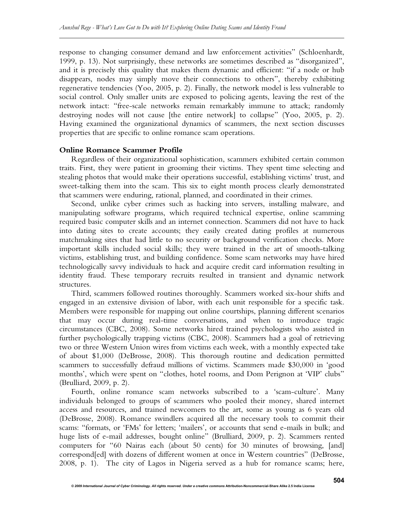response to changing consumer demand and law enforcement activities" (Schloenhardt, 1999, p. 13). Not surprisingly, these networks are sometimes described as "disorganized", and it is precisely this quality that makes them dynamic and efficient: "if a node or hub disappears, nodes may simply move their connections to others", thereby exhibiting regenerative tendencies (Yoo, 2005, p. 2). Finally, the network model is less vulnerable to social control. Only smaller units are exposed to policing agents, leaving the rest of the network intact: "free-scale networks remain remarkably immune to attack; randomly destroying nodes will not cause [the entire network] to collapse" (Yoo, 2005, p. 2). Having examined the organizational dynamics of scammers, the next section discusses properties that are specific to online romance scam operations.

## **Online Romance Scammer Profile**

Regardless of their organizational sophistication, scammers exhibited certain common traits. First, they were patient in grooming their victims. They spent time selecting and stealing photos that would make their operations successful, establishing victims' trust, and sweet-talking them into the scam. This six to eight month process clearly demonstrated that scammers were enduring, rational, planned, and coordinated in their crimes.

Second, unlike cyber crimes such as hacking into servers, installing malware, and manipulating software programs, which required technical expertise, online scamming required basic computer skills and an internet connection. Scammers did not have to hack into dating sites to create accounts; they easily created dating profiles at numerous matchmaking sites that had little to no security or background verification checks. More important skills included social skills; they were trained in the art of smooth-talking victims, establishing trust, and building confidence. Some scam networks may have hired technologically savvy individuals to hack and acquire credit card information resulting in identity fraud. These temporary recruits resulted in transient and dynamic network structures.

Third, scammers followed routines thoroughly. Scammers worked six-hour shifts and engaged in an extensive division of labor, with each unit responsible for a specific task. Members were responsible for mapping out online courtships, planning different scenarios that may occur during real-time conversations, and when to introduce tragic circumstances (CBC, 2008). Some networks hired trained psychologists who assisted in further psychologically trapping victims (CBC, 2008). Scammers had a goal of retrieving two or three Western Union wires from victims each week, with a monthly expected take of about \$1,000 (DeBrosse, 2008). This thorough routine and dedication permitted scammers to successfully defraud millions of victims. Scammers made \$30,000 in 'good months', which were spent on "clothes, hotel rooms, and Dom Perignon at 'VIP' clubs" (Brulliard, 2009, p. 2).

Fourth, online romance scam networks subscribed to a 'scam-culture'. Many individuals belonged to groups of scammers who pooled their money, shared internet access and resources, and trained newcomers to the art, some as young as 6 years old (DeBrosse, 2008). Romance swindlers acquired all the necessary tools to commit their scams: "formats, or 'FMs' for letters; 'mailers', or accounts that send e-mails in bulk; and huge lists of e-mail addresses, bought online" (Brulliard, 2009, p. 2). Scammers rented computers for "60 Nairas each (about 50 cents) for 30 minutes of browsing, [and] correspond[ed] with dozens of different women at once in Western countries" (DeBrosse, 2008, p. 1). The city of Lagos in Nigeria served as a hub for romance scams; here,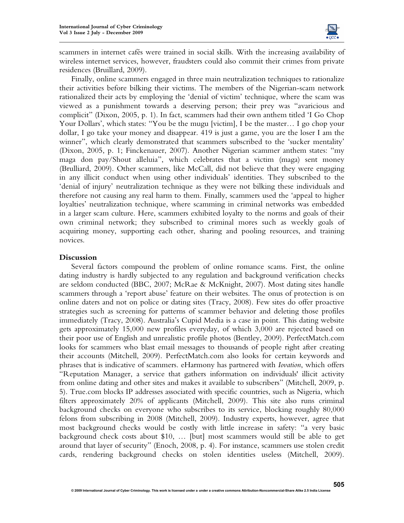

scammers in internet cafés were trained in social skills. With the increasing availability of wireless internet services, however, fraudsters could also commit their crimes from private residences (Bruillard, 2009).

Finally, online scammers engaged in three main neutralization techniques to rationalize their activities before bilking their victims. The members of the Nigerian-scam network rationalized their acts by employing the 'denial of victim' technique, where the scam was viewed as a punishment towards a deserving person; their prey was "avaricious and complicit" (Dixon, 2005, p. 1). In fact, scammers had their own anthem titled 'I Go Chop Your Dollars', which states: "You be the mugu [victim], I be the master… I go chop your dollar, I go take your money and disappear. 419 is just a game, you are the loser I am the winner", which clearly demonstrated that scammers subscribed to the 'sucker mentality' (Dixon, 2005, p. 1; Finckenauer, 2007). Another Nigerian scammer anthem states: "my maga don pay/Shout alleluia", which celebrates that a victim (maga) sent money (Brulliard, 2009). Other scammers, like McCall, did not believe that they were engaging in any illicit conduct when using other individuals' identities. They subscribed to the 'denial of injury' neutralization technique as they were not bilking these individuals and therefore not causing any real harm to them. Finally, scammers used the 'appeal to higher loyalties' neutralization technique, where scamming in criminal networks was embedded in a larger scam culture. Here, scammers exhibited loyalty to the norms and goals of their own criminal network; they subscribed to criminal mores such as weekly goals of acquiring money, supporting each other, sharing and pooling resources, and training novices.

## **Discussion**

Several factors compound the problem of online romance scams. First, the online dating industry is hardly subjected to any regulation and background verification checks are seldom conducted (BBC, 2007; McRae & McKnight, 2007). Most dating sites handle scammers through a 'report abuse' feature on their websites. The onus of protection is on online daters and not on police or dating sites (Tracy, 2008). Few sites do offer proactive strategies such as screening for patterns of scammer behavior and deleting those profiles immediately (Tracy, 2008). Australia's Cupid Media is a case in point. This dating website gets approximately 15,000 new profiles everyday, of which 3,000 are rejected based on their poor use of English and unrealistic profile photos (Bentley, 2009). PerfectMatch.com looks for scammers who blast email messages to thousands of people right after creating their accounts (Mitchell, 2009). PerfectMatch.com also looks for certain keywords and phrases that is indicative of scammers. eHarmony has partnered with *Iovation*, which offers "Reputation Manager, a service that gathers information on individuals' illicit activity from online dating and other sites and makes it available to subscribers" (Mitchell, 2009, p. 5). True.com blocks IP addresses associated with specific countries, such as Nigeria, which filters approximately 20% of applicants (Mitchell, 2009). This site also runs criminal background checks on everyone who subscribes to its service, blocking roughly 80,000 felons from subscribing in 2008 (Mitchell, 2009). Industry experts, however, agree that most background checks would be costly with little increase in safety: "a very basic background check costs about \$10, … [but] most scammers would still be able to get around that layer of security" (Enoch, 2008, p. 4). For instance, scammers use stolen credit cards, rendering background checks on stolen identities useless (Mitchell, 2009).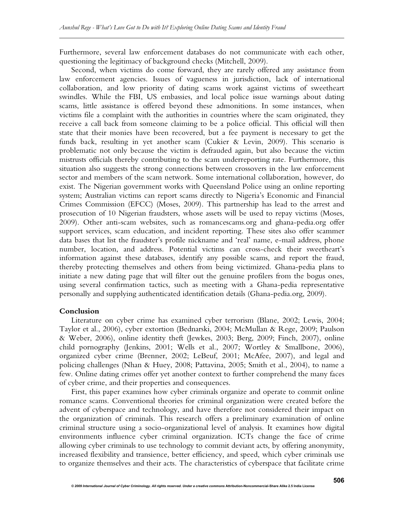Furthermore, several law enforcement databases do not communicate with each other, questioning the legitimacy of background checks (Mitchell, 2009).

Second, when victims do come forward, they are rarely offered any assistance from law enforcement agencies. Issues of vagueness in jurisdiction, lack of international collaboration, and low priority of dating scams work against victims of sweetheart swindles. While the FBI, US embassies, and local police issue warnings about dating scams, little assistance is offered beyond these admonitions. In some instances, when victims file a complaint with the authorities in countries where the scam originated, they receive a call back from someone claiming to be a police official. This official will then state that their monies have been recovered, but a fee payment is necessary to get the funds back, resulting in yet another scam (Cukier & Levin, 2009). This scenario is problematic not only because the victim is defrauded again, but also because the victim mistrusts officials thereby contributing to the scam underreporting rate. Furthermore, this situation also suggests the strong connections between crossovers in the law enforcement sector and members of the scam network. Some international collaboration, however, do exist. The Nigerian government works with Queensland Police using an online reporting system; Australian victims can report scams directly to Nigeria's Economic and Financial Crimes Commission (EFCC) (Moses, 2009). This partnership has lead to the arrest and prosecution of 10 Nigerian fraudsters, whose assets will be used to repay victims (Moses, 2009). Other anti-scam websites, such as romancescams.org and ghana-pedia.org offer support services, scam education, and incident reporting. These sites also offer scammer data bases that list the fraudster's profile nickname and 'real' name, e-mail address, phone number, location, and address. Potential victims can cross-check their sweetheart's information against these databases, identify any possible scams, and report the fraud, thereby protecting themselves and others from being victimized. Ghana-pedia plans to initiate a new dating page that will filter out the genuine profilers from the bogus ones, using several confirmation tactics, such as meeting with a Ghana-pedia representative personally and supplying authenticated identification details (Ghana-pedia.org, 2009).

#### **Conclusion**

Literature on cyber crime has examined cyber terrorism (Blane, 2002; Lewis, 2004; Taylor et al., 2006), cyber extortion (Bednarski, 2004; McMullan & Rege, 2009; Paulson & Weber, 2006), online identity theft (Jewkes, 2003; Berg, 2009; Finch, 2007), online child pornography (Jenkins, 2001; Wells et al., 2007; Wortley & Smallbone, 2006), organized cyber crime (Brenner, 2002; LeBeuf, 2001; McAfee, 2007), and legal and policing challenges (Nhan & Huey, 2008; Pattavina, 2005; Smith et al., 2004), to name a few. Online dating crimes offer yet another context to further comprehend the many faces of cyber crime, and their properties and consequences.

First, this paper examines how cyber criminals organize and operate to commit online romance scams. Conventional theories for criminal organization were created before the advent of cyberspace and technology, and have therefore not considered their impact on the organization of criminals. This research offers a preliminary examination of online criminal structure using a socio-organizational level of analysis. It examines how digital environments influence cyber criminal organization. ICTs change the face of crime allowing cyber criminals to use technology to commit deviant acts, by offering anonymity, increased flexibility and transience, better efficiency, and speed, which cyber criminals use to organize themselves and their acts. The characteristics of cyberspace that facilitate crime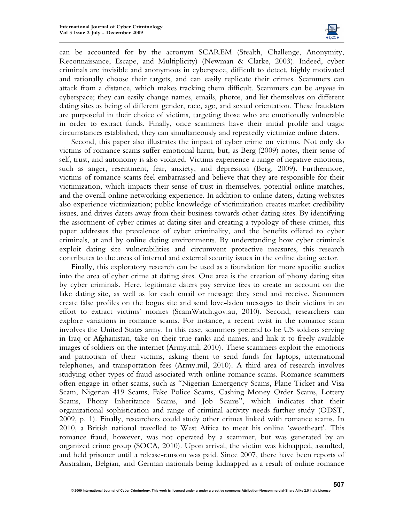

can be accounted for by the acronym SCAREM (Stealth, Challenge, Anonymity, Reconnaissance, Escape, and Multiplicity) (Newman & Clarke, 2003). Indeed, cyber criminals are invisible and anonymous in cyberspace, difficult to detect, highly motivated and rationally choose their targets, and can easily replicate their crimes. Scammers can attack from a distance, which makes tracking them difficult. Scammers can be *anyone* in cyberspace; they can easily change names, emails, photos, and list themselves on different dating sites as being of different gender, race, age, and sexual orientation. These fraudsters are purposeful in their choice of victims, targeting those who are emotionally vulnerable in order to extract funds. Finally, once scammers have their initial profile and tragic circumstances established, they can simultaneously and repeatedly victimize online daters.

Second, this paper also illustrates the impact of cyber crime on victims. Not only do victims of romance scams suffer emotional harm, but, as Berg (2009) notes, their sense of self, trust, and autonomy is also violated. Victims experience a range of negative emotions, such as anger, resentment, fear, anxiety, and depression (Berg, 2009). Furthermore, victims of romance scams feel embarrassed and believe that they are responsible for their victimization, which impacts their sense of trust in themselves, potential online matches, and the overall online networking experience. In addition to online daters, dating websites also experience victimization; public knowledge of victimization creates market credibility issues, and drives daters away from their business towards other dating sites. By identifying the assortment of cyber crimes at dating sites and creating a typology of these crimes, this paper addresses the prevalence of cyber criminality, and the benefits offered to cyber criminals, at and by online dating environments. By understanding how cyber criminals exploit dating site vulnerabilities and circumvent protective measures, this research contributes to the areas of internal and external security issues in the online dating sector.

Finally, this exploratory research can be used as a foundation for more specific studies into the area of cyber crime at dating sites. One area is the creation of phony dating sites by cyber criminals. Here, legitimate daters pay service fees to create an account on the fake dating site, as well as for each email or message they send and receive. Scammers create false profiles on the bogus site and send love-laden messages to their victims in an effort to extract victims' monies (ScamWatch.gov.au, 2010). Second, researchers can explore variations in romance scams. For instance, a recent twist in the romance scam involves the United States army. In this case, scammers pretend to be US soldiers serving in Iraq or Afghanistan, take on their true ranks and names, and link it to freely available images of soldiers on the internet (Army.mil, 2010). These scammers exploit the emotions and patriotism of their victims, asking them to send funds for laptops, international telephones, and transportation fees (Army.mil, 2010). A third area of research involves studying other types of fraud associated with online romance scams. Romance scammers often engage in other scams, such as "Nigerian Emergency Scams, Plane Ticket and Visa Scam, Nigerian 419 Scams, Fake Police Scams, Cashing Money Order Scams, Lottery Scams, Phony Inheritance Scams, and Job Scams", which indicates that their organizational sophistication and range of criminal activity needs further study (ODST, 2009, p. 1). Finally, researchers could study other crimes linked with romance scams. In 2010, a British national travelled to West Africa to meet his online 'sweetheart'. This romance fraud, however, was not operated by a scammer, but was generated by an organized crime group (SOCA, 2010). Upon arrival, the victim was kidnapped, assaulted, and held prisoner until a release-ransom was paid. Since 2007, there have been reports of Australian, Belgian, and German nationals being kidnapped as a result of online romance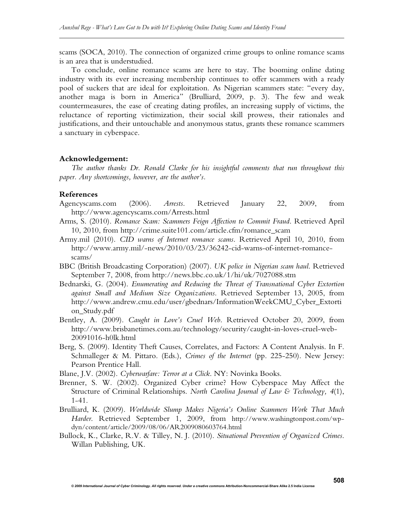scams (SOCA, 2010). The connection of organized crime groups to online romance scams is an area that is understudied.

To conclude, online romance scams are here to stay. The booming online dating industry with its ever increasing membership continues to offer scammers with a ready pool of suckers that are ideal for exploitation. As Nigerian scammers state: "every day, another maga is born in America" (Brulliard, 2009, p. 3). The few and weak countermeasures, the ease of creating dating profiles, an increasing supply of victims, the reluctance of reporting victimization, their social skill prowess, their rationales and justifications, and their untouchable and anonymous status, grants these romance scammers a sanctuary in cyberspace.

#### **Acknowledgement:**

*The author thanks Dr. Ronald Clarke for his insightful comments that run throughout this paper. Any shortcomings, however, are the author's.* 

## **References**

- Agencyscams.com (2006). *Arrests*. Retrieved January 22, 2009, from http://www.agencyscams.com/Arrests.html
- Arms, S. (2010). *Romance Scam: Scammers Feign Affection to Commit Fraud*. Retrieved April 10, 2010, from http://crime.suite101.com/article.cfm/romance\_scam
- Army.mil (2010). *CID warns of Internet romance scams*. Retrieved April 10, 2010, from http://www.army.mil/-news/2010/03/23/36242-cid-warns-of-internet-romancescams/
- BBC (British Broadcasting Corporation) (2007). *UK police in Nigerian scam haul*. Retrieved September 7, 2008, from http://news.bbc.co.uk/1/hi/uk/7027088.stm
- Bednarski, G. (2004). *Enumerating and Reducing the Threat of Transnational Cyber Extortion against Small and Medium Size Organizations*. Retrieved September 13, 2005, from http://www.andrew.cmu.edu/user/gbednars/InformationWeekCMU\_Cyber\_Extorti on\_Study.pdf
- Bentley, A. (2009). *Caught in Love's Cruel Web*. Retrieved October 20, 2009, from http://www.brisbanetimes.com.au/technology/security/caught-in-loves-cruel-web-20091016-h0lk.html
- Berg, S. (2009). Identity Theft Causes, Correlates, and Factors: A Content Analysis. In F. Schmalleger & M. Pittaro. (Eds.), *Crimes of the Internet* (pp. 225-250). New Jersey: Pearson Prentice Hall.

Blane, J.V. (2002). *Cyberwarfare: Terror at a Click*. NY: Novinka Books.

- Brenner, S. W. (2002). Organized Cyber crime? How Cyberspace May Affect the Structure of Criminal Relationships. *North Carolina Journal of Law & Technology, 4*(1), 1-41.
- Brulliard, K. (2009). *Worldwide Slump Makes Nigeria's Online Scammers Work That Much Harder*. Retrieved September 1, 2009, from http://www.washingtonpost.com/wpdyn/content/article/2009/08/06/AR2009080603764.html
- Bullock, K., Clarke, R.V. & Tilley, N. J. (2010). *Situational Prevention of Organized Crimes*. Willan Publishing, UK.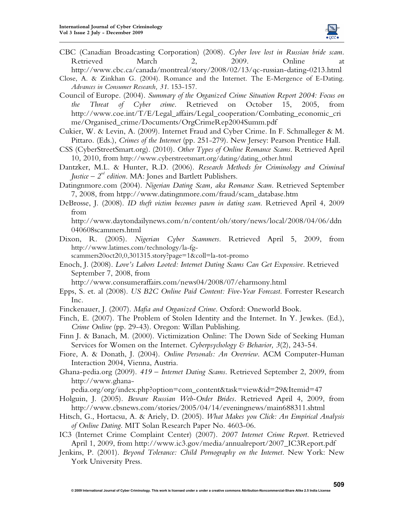

CBC (Canadian Broadcasting Corporation) (2008). *Cyber love lost in Russian bride scam*. Retrieved March 2, 2009. Online at http://www.cbc.ca/canada/montreal/story/2008/02/13/qc-russian-dating-0213.html

Close, A. & Zinkhan G. (2004). Romance and the Internet. The E-Mergence of E-Dating. *Advances in Consumer Research, 31*. 153-157.

Council of Europe. (2004). *Summary of the Organized Crime Situation Report 2004: Focus on the Threat of Cyber crime*. Retrieved on October 15, 2005, from http://www.coe.int/T/E/Legal\_affairs/Legal\_cooperation/Combating\_economic\_cri me/Organised\_crime/Documents/OrgCrimeRep2004Summ.pdf

Cukier, W. & Levin, A. (2009). Internet Fraud and Cyber Crime. In F. Schmalleger & M. Pittaro. (Eds.), *Crimes of the Internet* (pp. 251-279). New Jersey: Pearson Prentice Hall.

CSS (CyberStreetSmart.org). (2010). *Other Types of Online Romance Scams*. Retrieved April 10, 2010, from http://www.cyberstreetsmart.org/dating/dating\_other.html

Dantzker, M.L. & Hunter, R.D. (2006). *Research Methods for Criminology and Criminal Justice –*  $2^{nd}$  *edition.* MA: Jones and Bartlett Publishers.

Datingnmore.com (2004). *Nigerian Dating Scam, aka Romance Scam*. Retrieved September 7, 2008, from htpp://www.datingnmore.com/fraud/scam\_database.htm

DeBrosse, J. (2008). *ID theft victim becomes pawn in dating scam*. Retrieved April 4, 2009 from

http://www.daytondailynews.com/n/content/oh/story/news/local/2008/04/06/ddn 040608scammers.html

Dixon, R. (2005). *Nigerian Cyber Scammers*. Retrieved April 5, 2009, from http://www.latimes.com/technology/la-fg-

scammers20oct20,0,301315.story?page=1&coll=la-tot-promo

Enoch, J. (2008). *Love's Labors Looted: Internet Dating Scams Can Get Expensive*. Retrieved September 7, 2008, from

http://www.consumeraffairs.com/news04/2008/07/eharmony.html

- Epps, S. et. al (2008). *US B2C Online Paid Content: Five-Year Forecast*. Forrester Research Inc.
- Finckenauer, J. (2007). *Mafia and Organized Crime*. Oxford: Oneworld Book.

Finch, E. (2007). The Problem of Stolen Identity and the Internet. In Y. Jewkes. (Ed.), *Crime Online* (pp. 29-43). Oregon: Willan Publishing.

Finn J. & Banach, M. (2000). Victimization Online: The Down Side of Seeking Human Services for Women on the Internet. *Cyberpsychology & Behavior, 3*(2), 243-54.

Fiore, A. & Donath, J. (2004). *Online Personals: An Overview*. ACM Computer-Human Interaction 2004, Vienna, Austria.

Ghana-pedia.org (2009). *419 – Internet Dating Scams*. Retrieved September 2, 2009, from http://www.ghana-

pedia.org/org/index.php?option=com\_content&task=view&id=29&Itemid=47

- Holguin, J. (2005). *Beware Russian Web-Order Brides*. Retrieved April 4, 2009, from http://www.cbsnews.com/stories/2005/04/14/eveningnews/main688311.shtml
- Hitsch, G., Hortacsu, A. & Ariely, D. (2005). *What Makes you Click: An Empirical Analysis of Online Dating*. MIT Solan Research Paper No. 4603-06.
- IC3 (Internet Crime Complaint Center) (2007). *2007 Internet Crime Report*. Retrieved April 1, 2009, from http://www.ic3.gov/media/annualreport/2007\_IC3Report.pdf
- Jenkins, P. (2001). *Beyond Tolerance: Child Pornography on the Internet*. New York: New York University Press.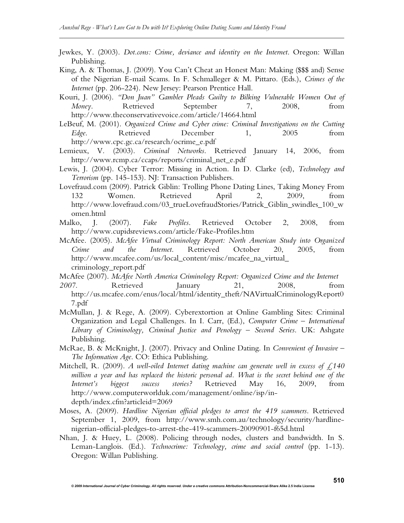- Jewkes, Y. (2003). *Dot.cons: Crime, deviance and identity on the Internet*. Oregon: Willan Publishing.
- King, A. & Thomas, J. (2009). You Can't Cheat an Honest Man: Making (\$\$\$ and) Sense of the Nigerian E-mail Scams. In F. Schmalleger & M. Pittaro. (Eds.), *Crimes of the Internet* (pp. 206-224). New Jersey: Pearson Prentice Hall.
- Kouri, J. (2006). *"Don Juan" Gambler Pleads Guilty to Bilking Vulnerable Women Out of Money*. Retrieved September 7, 2008, from http://www.theconservativevoice.com/article/14664.html
- LeBeuf, M. (2001). *Organized Crime and Cyber crime: Criminal Investigations on the Cutting Edge*. Retrieved December 1, 2005 from http://www.cpc.gc.ca/research/ocrime\_e.pdf
- Lemieux, V. (2003). *Criminal Networks*. Retrieved January 14, 2006, from http://www.rcmp.ca/ccaps/reports/criminal\_net\_e.pdf
- Lewis, J. (2004). Cyber Terror: Missing in Action. In D. Clarke (ed), *Technology and Terrorism* (pp. 145-153). NJ: Transaction Publishers.
- Lovefraud.com (2009). Patrick Giblin: Trolling Phone Dating Lines, Taking Money From 132 Women. Retrieved April 2, 2009, from http://www.lovefraud.com/03\_trueLovefraudStories/Patrick\_Giblin\_swindles\_100\_w omen.html
- Malko, J. (2007). *Fake Profiles*. Retrieved October 2, 2008, from http://www.cupidsreviews.com/article/Fake-Profiles.htm
- McAfee. (2005). *McAfee Virtual Criminology Report: North American Study into Organized Crime and the Internet*. Retrieved October 20, 2005, from http://www.mcafee.com/us/local\_content/misc/mcafee\_na\_virtual\_ criminology\_report.pdf
- McAfee (2007). *McAfee North America Criminology Report: Organized Crime and the Internet 2007*. Retrieved January 21, 2008, from
- http://us.mcafee.com/enus/local/html/identity\_theft/NAVirtualCriminologyReport0 7.pdf
- McMullan, J. & Rege, A. (2009). Cyberextortion at Online Gambling Sites: Criminal Organization and Legal Challenges. In I. Carr, (Ed.), *Computer Crime – International Library of Criminology, Criminal Justice and Penology – Second Series*. UK: Ashgate Publishing.
- McRae, B. & McKnight, J. (2007). Privacy and Online Dating. In *Convenient of Invasive The Information Age*. CO: Ethica Publishing.
- Mitchell, R. (2009). *A well-oiled Internet dating machine can generate well in excess of £140 million a year and has replaced the historic personal ad. What is the secret behind one of the Internet's biggest success stories?* Retrieved May 16, 2009, from http://www.computerworlduk.com/management/online/isp/indepth/index.cfm?articleid=2069
- Moses, A. (2009). *Hardline Nigerian official pledges to arrest the 419 scammers*. Retrieved September 1, 2009, from http://www.smh.com.au/technology/security/hardlinenigerian-official-pledges-to-arrest-the-419-scammers-20090901-f65d.html
- Nhan, J. & Huey, L. (2008). Policing through nodes, clusters and bandwidth. In S. Leman-Langlois. (Ed.). *Technocrime: Technology, crime and social control* (pp. 1-13). Oregon: Willan Publishing.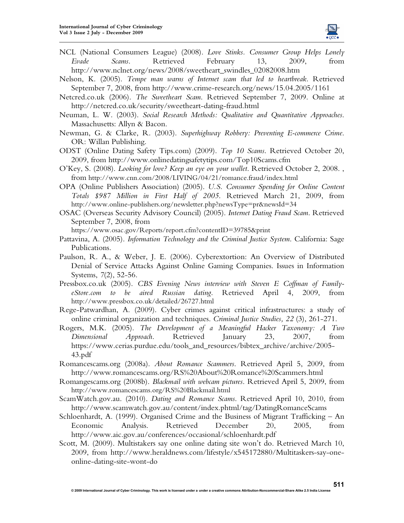

- NCL (National Consumers League) (2008). *Love Stinks. Consumer Group Helps Lonely Evade Scams*. Retrieved February 13, 2009, from http://www.nclnet.org/news/2008/sweetheart\_swindles\_02082008.htm
- Nelson, K. (2005). *Tempe man warns of Internet scam that led to heartbreak*. Retrieved September 7, 2008, from http://www.crime-research.org/news/15.04.2005/1161
- Netcred.co.uk (2006). *The Sweetheart Scam*. Retrieved September 7, 2009. Online at http://netcred.co.uk/security/sweetheart-dating-fraud.html
- Neuman, L. W. (2003). *Social Research Methods: Qualitative and Quantitative Approaches*. Massachusetts: Allyn & Bacon.
- Newman, G. & Clarke, R. (2003). *Superhighway Robbery: Preventing E-commerce Crime*. OR: Willan Publishing.
- ODST (Online Dating Safety Tips.com) (2009). *Top 10 Scams*. Retrieved October 20, 2009, from http://www.onlinedatingsafetytips.com/Top10Scams.cfm
- O'Key, S. (2008). *Looking for love? Keep an eye on your wallet*. Retrieved October 2, 2008. , from http://www.cnn.com/2008/LIVING/04/21/romance.fraud/index.html
- OPA (Online Publishers Association) (2005). *U.S. Consumer Spending for Online Content Totals \$987 Million in First Half of 2005*. Retrieved March 21, 2009, from http://www.online-publishers.org/newsletter.php?newsType=pr&newsId=34
- OSAC (Overseas Security Advisory Council) (2005). *Internet Dating Fraud Scam*. Retrieved September 7, 2008, from

https://www.osac.gov/Reports/report.cfm?contentID=39785&print

- Pattavina, A. (2005). *Information Technology and the Criminal Justice System*. California: Sage Publications.
- Paulson, R. A., & Weber, J. E. (2006). Cyberextortion: An Overview of Distributed Denial of Service Attacks Against Online Gaming Companies. Issues in Information Systems, *7*(2), 52-56.
- Pressbox.co.uk (2005). *CBS Evening News interview with Steven E Coffman of FamilyeStore.com to be aired Russian dating*. Retrieved April 4, 2009, from http://www.pressbox.co.uk/detailed/26727.html
- Rege-Patwardhan, A. (2009). Cyber crimes against critical infrastructures: a study of online criminal organization and techniques. *Criminal Justice Studies, 22* (3), 261-271.
- Rogers, M.K. (2005). *The Development of a Meaningful Hacker Taxonomy: A Two Dimensional Approach*. Retrieved January 23, 2007, from https://www.cerias.purdue.edu/tools\_and\_resources/bibtex\_archive/archive/2005- 43.pdf
- Romancescams.org (2008a). *About Romance Scammers*. Retrieved April 5, 2009, from http://www.romancescams.org/RS%20About%20Romance%20Scammers.html
- Romangescams.org (2008b). *Blackmail with webcam pictures*. Retrieved April 5, 2009, from http://www.romancescams.org/RS%20Blackmail.html
- ScamWatch.gov.au. (2010). *Dating and Romance Scams*. Retrieved April 10, 2010, from http://www.scamwatch.gov.au/content/index.phtml/tag/DatingRomanceScams
- Schloenhardt, A. (1999). Organised Crime and the Business of Migrant Trafficking An Economic Analysis. Retrieved December 20, 2005, from http://www.aic.gov.au/conferences/occasional/schloenhardt.pdf
- Scott, M. (2009). Multistakers say one online dating site won't do. Retrieved March 10, 2009, from http://www.heraldnews.com/lifestyle/x545172880/Multitaskers-say-oneonline-dating-site-wont-do